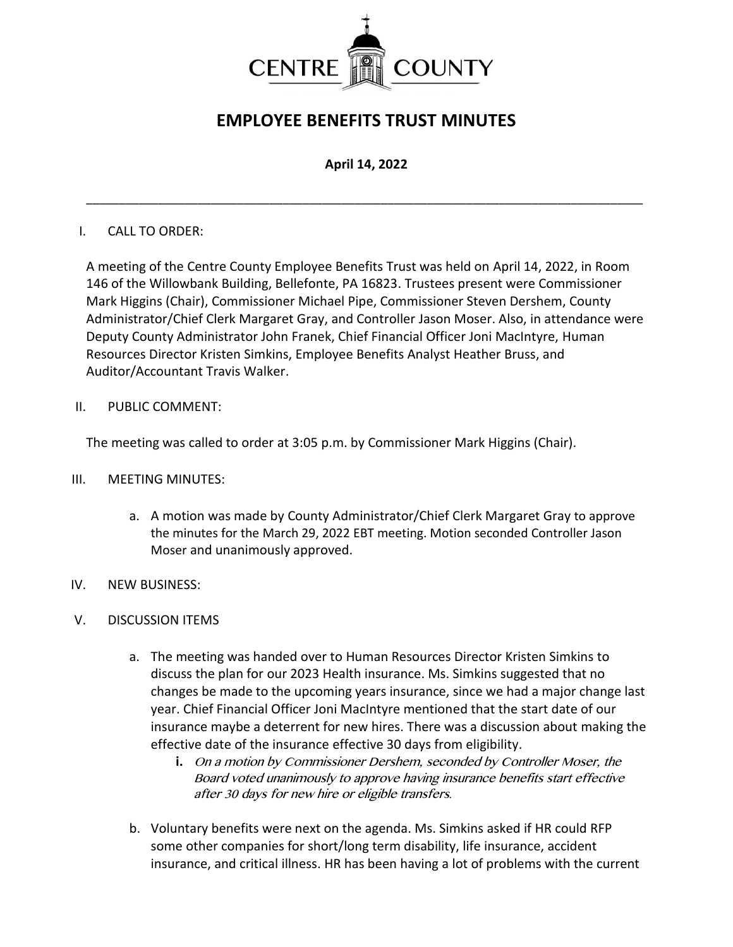

# **EMPLOYEE BENEFITS TRUST MINUTES**

## **April 14, 2022**

\_\_\_\_\_\_\_\_\_\_\_\_\_\_\_\_\_\_\_\_\_\_\_\_\_\_\_\_\_\_\_\_\_\_\_\_\_\_\_\_\_\_\_\_\_\_\_\_\_\_\_\_\_\_\_\_\_\_\_\_\_\_\_\_\_\_\_\_\_\_\_\_\_\_\_\_\_\_\_\_\_\_\_\_\_

### I. CALL TO ORDER:

A meeting of the Centre County Employee Benefits Trust was held on April 14, 2022, in Room 146 of the Willowbank Building, Bellefonte, PA 16823. Trustees present were Commissioner Mark Higgins (Chair), Commissioner Michael Pipe, Commissioner Steven Dershem, County Administrator/Chief Clerk Margaret Gray, and Controller Jason Moser. Also, in attendance were Deputy County Administrator John Franek, Chief Financial Officer Joni MacIntyre, Human Resources Director Kristen Simkins, Employee Benefits Analyst Heather Bruss, and Auditor/Accountant Travis Walker.

II. PUBLIC COMMENT:

The meeting was called to order at 3:05 p.m. by Commissioner Mark Higgins (Chair).

- III. MEETING MINUTES:
	- a. A motion was made by County Administrator/Chief Clerk Margaret Gray to approve the minutes for the March 29, 2022 EBT meeting. Motion seconded Controller Jason Moser and unanimously approved.
- IV. NEW BUSINESS:
- V. DISCUSSION ITEMS
	- a. The meeting was handed over to Human Resources Director Kristen Simkins to discuss the plan for our 2023 Health insurance. Ms. Simkins suggested that no changes be made to the upcoming years insurance, since we had a major change last year. Chief Financial Officer Joni MacIntyre mentioned that the start date of our insurance maybe a deterrent for new hires. There was a discussion about making the effective date of the insurance effective 30 days from eligibility.
		- **i.** On a motion by Commissioner Dershem, seconded by Controller Moser, the Board voted unanimously to approve having insurance benefits start effective after 30 days for new hire or eligible transfers.
	- b. Voluntary benefits were next on the agenda. Ms. Simkins asked if HR could RFP some other companies for short/long term disability, life insurance, accident insurance, and critical illness. HR has been having a lot of problems with the current